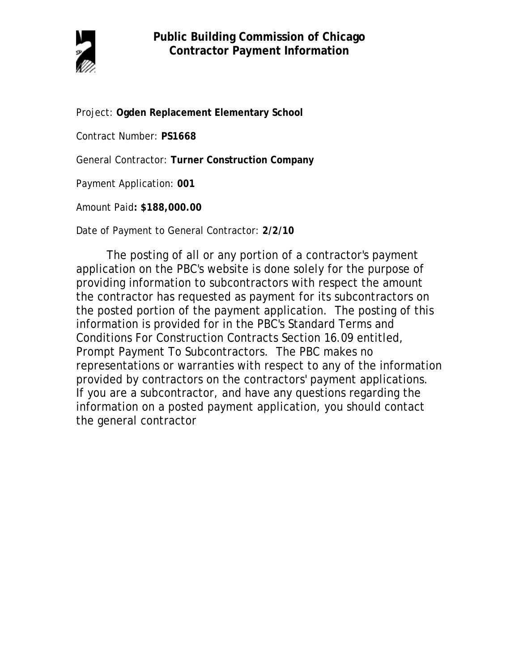

Project: **Ogden Replacement Elementary School**

Contract Number: **PS1668**

General Contractor: **Turner Construction Company**

Payment Application: **001**

Amount Paid**: \$188,000.00** 

Date of Payment to General Contractor: **2/2/10**

The posting of all or any portion of a contractor's payment application on the PBC's website is done solely for the purpose of providing information to subcontractors with respect the amount the contractor has requested as payment for its subcontractors on the posted portion of the payment application. The posting of this information is provided for in the PBC's Standard Terms and Conditions For Construction Contracts Section 16.09 entitled, Prompt Payment To Subcontractors. The PBC makes no representations or warranties with respect to any of the information provided by contractors on the contractors' payment applications. If you are a subcontractor, and have any questions regarding the information on a posted payment application, you should contact the general contractor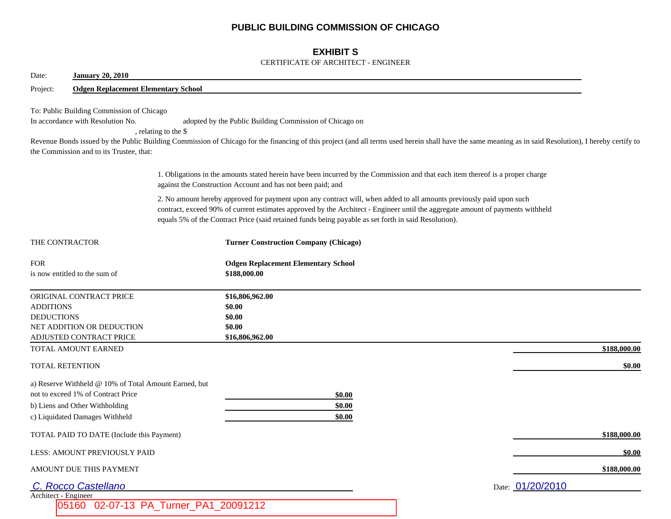## **PUBLIC BUILDING COMMISSION OF CHICAGO**

## **EXHIBIT S**

### CERTIFICATE OF ARCHITECT - ENGINEER

| Date:<br><b>January 20, 2010</b>                                                                                                                                                                                                                                                                                                                               |                                                                                                                                                                                                                                                                   |              |  |  |
|----------------------------------------------------------------------------------------------------------------------------------------------------------------------------------------------------------------------------------------------------------------------------------------------------------------------------------------------------------------|-------------------------------------------------------------------------------------------------------------------------------------------------------------------------------------------------------------------------------------------------------------------|--------------|--|--|
| <b>Odgen Replacement Elementary School</b><br>Project:                                                                                                                                                                                                                                                                                                         |                                                                                                                                                                                                                                                                   |              |  |  |
| To: Public Building Commission of Chicago<br>In accordance with Resolution No.<br>, relating to the \$<br>the Commission and to its Trustee, that:                                                                                                                                                                                                             | adopted by the Public Building Commission of Chicago on<br>Revenue Bonds issued by the Public Building Commission of Chicago for the financing of this project (and all terms used herein shall have the same meaning as in said Resolution), I hereby certify to |              |  |  |
|                                                                                                                                                                                                                                                                                                                                                                | 1. Obligations in the amounts stated herein have been incurred by the Commission and that each item thereof is a proper charge<br>against the Construction Account and has not been paid; and                                                                     |              |  |  |
| 2. No amount hereby approved for payment upon any contract will, when added to all amounts previously paid upon such<br>contract, exceed 90% of current estimates approved by the Architect - Engineer until the aggregate amount of payments withheld<br>equals 5% of the Contract Price (said retained funds being payable as set forth in said Resolution). |                                                                                                                                                                                                                                                                   |              |  |  |
| THE CONTRACTOR                                                                                                                                                                                                                                                                                                                                                 | <b>Turner Construction Company (Chicago)</b>                                                                                                                                                                                                                      |              |  |  |
| <b>FOR</b><br>is now entitled to the sum of                                                                                                                                                                                                                                                                                                                    | <b>Odgen Replacement Elementary School</b><br>\$188,000.00                                                                                                                                                                                                        |              |  |  |
| ORIGINAL CONTRACT PRICE<br><b>ADDITIONS</b><br><b>DEDUCTIONS</b><br>NET ADDITION OR DEDUCTION<br>ADJUSTED CONTRACT PRICE                                                                                                                                                                                                                                       | \$16,806,962.00<br>\$0.00<br>\$0.00<br>\$0.00<br>\$16,806,962.00                                                                                                                                                                                                  |              |  |  |
| TOTAL AMOUNT EARNED                                                                                                                                                                                                                                                                                                                                            |                                                                                                                                                                                                                                                                   | \$188,000.00 |  |  |
| TOTAL RETENTION                                                                                                                                                                                                                                                                                                                                                |                                                                                                                                                                                                                                                                   | \$0.00       |  |  |
| a) Reserve Withheld @ 10% of Total Amount Earned, but<br>not to exceed 1% of Contract Price<br>b) Liens and Other Withholding<br>c) Liquidated Damages Withheld                                                                                                                                                                                                | \$0.00<br>\$0.00<br>\$0.00                                                                                                                                                                                                                                        |              |  |  |
| TOTAL PAID TO DATE (Include this Payment)                                                                                                                                                                                                                                                                                                                      |                                                                                                                                                                                                                                                                   | \$188,000.00 |  |  |
| LESS: AMOUNT PREVIOUSLY PAID                                                                                                                                                                                                                                                                                                                                   |                                                                                                                                                                                                                                                                   | \$0.00       |  |  |
| AMOUNT DUE THIS PAYMENT                                                                                                                                                                                                                                                                                                                                        |                                                                                                                                                                                                                                                                   | \$188,000.00 |  |  |
| C. Rocco Castellano                                                                                                                                                                                                                                                                                                                                            | Date: 01/20/2010                                                                                                                                                                                                                                                  |              |  |  |
| Architect - Engineer                                                                                                                                                                                                                                                                                                                                           |                                                                                                                                                                                                                                                                   |              |  |  |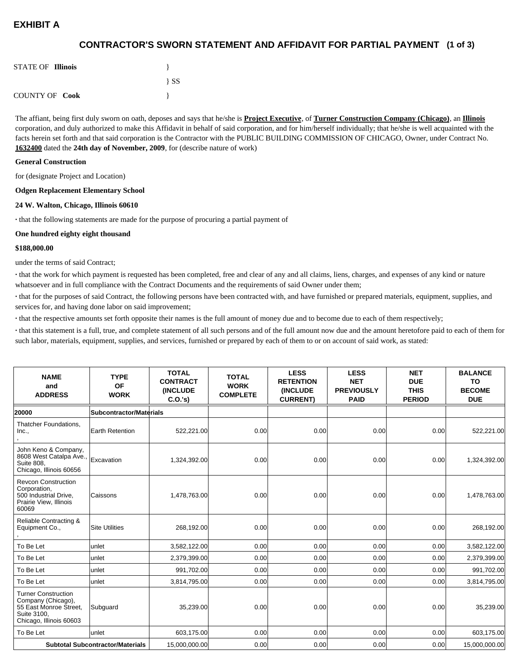# **EXHIBIT A**

## **(1 of 3) CONTRACTOR'S SWORN STATEMENT AND AFFIDAVIT FOR PARTIAL PAYMENT**

| <b>STATE OF Illinois</b> |          |
|--------------------------|----------|
|                          | $\{SS\}$ |
| <b>COUNTY OF Cook</b>    |          |

The affiant, being first duly sworn on oath, deposes and says that he/she is **Project Executive**, of **Turner Construction Company (Chicago)**, an **Illinois** corporation, and duly authorized to make this Affidavit in behalf of said corporation, and for him/herself individually; that he/she is well acquainted with the facts herein set forth and that said corporation is the Contractor with the PUBLIC BUILDING COMMISSION OF CHICAGO, Owner, under Contract No. **1632400** dated the **24th day of November, 2009**, for (describe nature of work)

#### **General Construction**

for (designate Project and Location)

#### **Odgen Replacement Elementary School**

#### **24 W. Walton, Chicago, Illinois 60610**

**·** that the following statements are made for the purpose of procuring a partial payment of

#### **One hundred eighty eight thousand**

#### **\$188,000.00**

under the terms of said Contract;

**·** that the work for which payment is requested has been completed, free and clear of any and all claims, liens, charges, and expenses of any kind or nature whatsoever and in full compliance with the Contract Documents and the requirements of said Owner under them;

**·** that for the purposes of said Contract, the following persons have been contracted with, and have furnished or prepared materials, equipment, supplies, and services for, and having done labor on said improvement;

**·** that the respective amounts set forth opposite their names is the full amount of money due and to become due to each of them respectively;

**·** that this statement is a full, true, and complete statement of all such persons and of the full amount now due and the amount heretofore paid to each of them for such labor, materials, equipment, supplies, and services, furnished or prepared by each of them to or on account of said work, as stated:

| <b>NAME</b><br>and<br><b>ADDRESS</b>                                                                                 | <b>TYPE</b><br><b>OF</b><br><b>WORK</b> | <b>TOTAL</b><br><b>CONTRACT</b><br><b>INCLUDE</b><br>C.O.'s | <b>TOTAL</b><br><b>WORK</b><br><b>COMPLETE</b> | <b>LESS</b><br><b>RETENTION</b><br><b>(INCLUDE)</b><br><b>CURRENT)</b> | <b>LESS</b><br><b>NET</b><br><b>PREVIOUSLY</b><br><b>PAID</b> | <b>NET</b><br><b>DUE</b><br><b>THIS</b><br><b>PERIOD</b> | <b>BALANCE</b><br><b>TO</b><br><b>BECOME</b><br><b>DUE</b> |
|----------------------------------------------------------------------------------------------------------------------|-----------------------------------------|-------------------------------------------------------------|------------------------------------------------|------------------------------------------------------------------------|---------------------------------------------------------------|----------------------------------------------------------|------------------------------------------------------------|
| 20000                                                                                                                | Subcontractor/Materials                 |                                                             |                                                |                                                                        |                                                               |                                                          |                                                            |
| Thatcher Foundations.<br>Inc.,                                                                                       | Earth Retention                         | 522,221.00                                                  | 0.00                                           | 0.00                                                                   | 0.00                                                          | 0.00                                                     | 522,221.00                                                 |
| John Keno & Company,<br>8608 West Catalpa Ave.,<br>Suite 808,<br>Chicago, Illinois 60656                             | Excavation                              | 1,324,392.00                                                | 0.00                                           | 0.00                                                                   | 0.00                                                          | 0.00                                                     | 1,324,392.00                                               |
| <b>Revcon Construction</b><br>Corporation,<br>500 Industrial Drive,<br>Prairie View, Illinois<br>60069               | <b>Caissons</b>                         | 1,478,763.00                                                | 0.00                                           | 0.00                                                                   | 0.00                                                          | 0.00                                                     | 1,478,763.00                                               |
| Reliable Contracting &<br>Equipment Co.,                                                                             | <b>Site Utilities</b>                   | 268,192.00                                                  | 0.00                                           | 0.00                                                                   | 0.00                                                          | 0.00                                                     | 268,192.00                                                 |
| To Be Let                                                                                                            | unlet                                   | 3,582,122.00                                                | 0.00                                           | 0.00                                                                   | 0.00                                                          | 0.00                                                     | 3,582,122.00                                               |
| To Be Let                                                                                                            | unlet                                   | 2,379,399.00                                                | 0.00                                           | 0.00                                                                   | 0.00                                                          | 0.00                                                     | 2,379,399.00                                               |
| To Be Let                                                                                                            | unlet                                   | 991,702.00                                                  | 0.00                                           | 0.00                                                                   | 0.00                                                          | 0.00                                                     | 991,702.00                                                 |
| To Be Let                                                                                                            | unlet                                   | 3,814,795.00                                                | 0.00                                           | 0.00                                                                   | 0.00                                                          | 0.00                                                     | 3,814,795.00                                               |
| <b>Turner Construction</b><br>Company (Chicago),<br>55 East Monroe Street,<br>Suite 3100,<br>Chicago, Illinois 60603 | Subguard                                | 35,239.00                                                   | 0.00                                           | 0.00                                                                   | 0.00                                                          | 0.00                                                     | 35,239.00                                                  |
| To Be Let                                                                                                            | lunlet                                  | 603,175.00                                                  | 0.00                                           | 0.00                                                                   | 0.00                                                          | 0.00                                                     | 603,175.00                                                 |
|                                                                                                                      | <b>Subtotal Subcontractor/Materials</b> | 15,000,000.00                                               | 0.00                                           | 0.00                                                                   | 0.00                                                          | 0.00                                                     | 15,000,000.00                                              |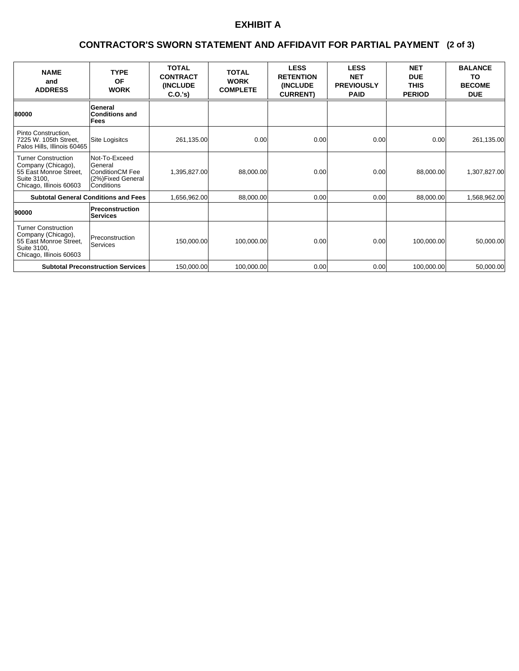# **EXHIBIT A**

### **(2 of 3) CONTRACTOR'S SWORN STATEMENT AND AFFIDAVIT FOR PARTIAL PAYMENT**

| <b>NAME</b><br>and<br><b>ADDRESS</b>                                                                                 | <b>TYPE</b><br>OF<br><b>WORK</b>                                                      | <b>TOTAL</b><br><b>CONTRACT</b><br><b>(INCLUDE)</b><br>C.O.'s | <b>TOTAL</b><br><b>WORK</b><br><b>COMPLETE</b> | <b>LESS</b><br><b>RETENTION</b><br><b>(INCLUDE)</b><br><b>CURRENT)</b> | <b>LESS</b><br><b>NET</b><br><b>PREVIOUSLY</b><br><b>PAID</b> | <b>NET</b><br><b>DUE</b><br><b>THIS</b><br><b>PERIOD</b> | <b>BALANCE</b><br>TO<br><b>BECOME</b><br><b>DUE</b> |
|----------------------------------------------------------------------------------------------------------------------|---------------------------------------------------------------------------------------|---------------------------------------------------------------|------------------------------------------------|------------------------------------------------------------------------|---------------------------------------------------------------|----------------------------------------------------------|-----------------------------------------------------|
| 80000                                                                                                                | General<br><b>Conditions and</b><br>Fees                                              |                                                               |                                                |                                                                        |                                                               |                                                          |                                                     |
| Pinto Construction,<br>7225 W. 105th Street,<br>Palos Hills, Illinois 60465                                          | Site Logisitcs                                                                        | 261,135.00                                                    | 0.00                                           | 0.00                                                                   | 0.00                                                          | 0.00                                                     | 261,135.00                                          |
| <b>Turner Construction</b><br>Company (Chicago),<br>55 East Monroe Street,<br>Suite 3100,<br>Chicago, Illinois 60603 | Not-To-Exceed<br>General<br>ConditionCM Fee<br>(2%)Fixed General<br><b>Conditions</b> | 1,395,827.00                                                  | 88,000.00                                      | 0.00                                                                   | 0.00                                                          | 88,000.00                                                | 1,307,827.00                                        |
| <b>Subtotal General Conditions and Fees</b>                                                                          |                                                                                       | 1,656,962.00                                                  | 88,000.00                                      | 0.00                                                                   | 0.00                                                          | 88,000.00                                                | 1,568,962.00                                        |
| 90000                                                                                                                | Preconstruction<br>Services                                                           |                                                               |                                                |                                                                        |                                                               |                                                          |                                                     |
| <b>Turner Construction</b><br>Company (Chicago),<br>55 East Monroe Street,<br>Suite 3100,<br>Chicago, Illinois 60603 | Preconstruction<br>Services                                                           | 150,000.00                                                    | 100,000.00                                     | 0.00                                                                   | 0.00                                                          | 100,000.00                                               | 50,000.00                                           |
|                                                                                                                      | <b>Subtotal Preconstruction Services</b>                                              | 150,000.00                                                    | 100,000.00                                     | 0.00                                                                   | 0.00                                                          | 100,000.00                                               | 50,000.00                                           |